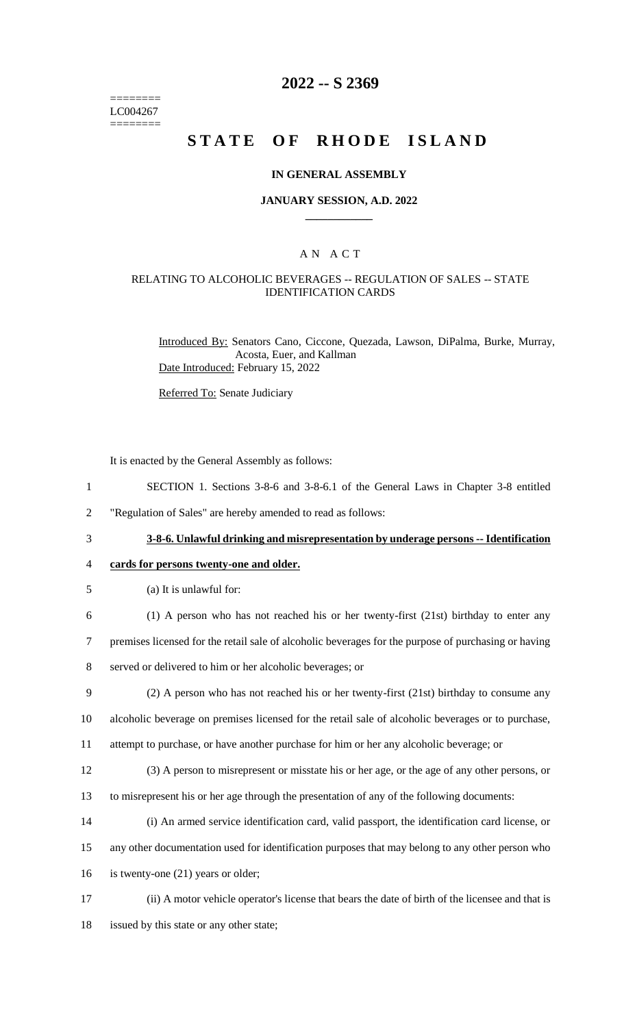======== LC004267 ========

# **2022 -- S 2369**

# **STATE OF RHODE ISLAND**

### **IN GENERAL ASSEMBLY**

## **JANUARY SESSION, A.D. 2022 \_\_\_\_\_\_\_\_\_\_\_\_**

## A N A C T

## RELATING TO ALCOHOLIC BEVERAGES -- REGULATION OF SALES -- STATE IDENTIFICATION CARDS

Introduced By: Senators Cano, Ciccone, Quezada, Lawson, DiPalma, Burke, Murray, Acosta, Euer, and Kallman Date Introduced: February 15, 2022

Referred To: Senate Judiciary

It is enacted by the General Assembly as follows:

- 1 SECTION 1. Sections 3-8-6 and 3-8-6.1 of the General Laws in Chapter 3-8 entitled
- 2 "Regulation of Sales" are hereby amended to read as follows:
	-

3 **3-8-6. Unlawful drinking and misrepresentation by underage persons -- Identification** 

## 4 **cards for persons twenty-one and older.**

5 (a) It is unlawful for:

6 (1) A person who has not reached his or her twenty-first (21st) birthday to enter any

- 7 premises licensed for the retail sale of alcoholic beverages for the purpose of purchasing or having
- 8 served or delivered to him or her alcoholic beverages; or
- 9 (2) A person who has not reached his or her twenty-first (21st) birthday to consume any
- 10 alcoholic beverage on premises licensed for the retail sale of alcoholic beverages or to purchase,
- 11 attempt to purchase, or have another purchase for him or her any alcoholic beverage; or
- 12 (3) A person to misrepresent or misstate his or her age, or the age of any other persons, or
- 13 to misrepresent his or her age through the presentation of any of the following documents:
- 14 (i) An armed service identification card, valid passport, the identification card license, or
- 15 any other documentation used for identification purposes that may belong to any other person who
- 16 is twenty-one (21) years or older;
- 17 (ii) A motor vehicle operator's license that bears the date of birth of the licensee and that is
- 18 issued by this state or any other state;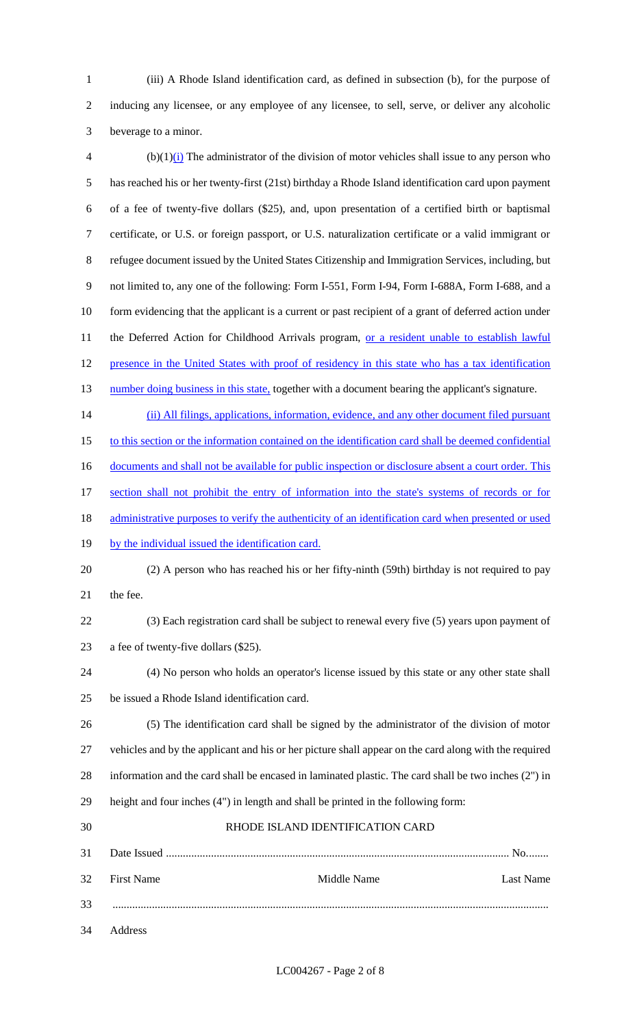- (iii) A Rhode Island identification card, as defined in subsection (b), for the purpose of inducing any licensee, or any employee of any licensee, to sell, serve, or deliver any alcoholic beverage to a minor.
- $\Phi$  (b)(1)(i) The administrator of the division of motor vehicles shall issue to any person who has reached his or her twenty-first (21st) birthday a Rhode Island identification card upon payment of a fee of twenty-five dollars (\$25), and, upon presentation of a certified birth or baptismal certificate, or U.S. or foreign passport, or U.S. naturalization certificate or a valid immigrant or refugee document issued by the United States Citizenship and Immigration Services, including, but not limited to, any one of the following: Form I-551, Form I-94, Form I-688A, Form I-688, and a 10 form evidencing that the applicant is a current or past recipient of a grant of deferred action under 11 the Deferred Action for Childhood Arrivals program, or a resident unable to establish lawful 12 presence in the United States with proof of residency in this state who has a tax identification 13 number doing business in this state, together with a document bearing the applicant's signature. 14 (ii) All filings, applications, information, evidence, and any other document filed pursuant 15 to this section or the information contained on the identification card shall be deemed confidential
- 16 documents and shall not be available for public inspection or disclosure absent a court order. This
- section shall not prohibit the entry of information into the state's systems of records or for
- 18 administrative purposes to verify the authenticity of an identification card when presented or used
- 19 by the individual issued the identification card.
- (2) A person who has reached his or her fifty-ninth (59th) birthday is not required to pay the fee.
- (3) Each registration card shall be subject to renewal every five (5) years upon payment of a fee of twenty-five dollars (\$25).
- (4) No person who holds an operator's license issued by this state or any other state shall be issued a Rhode Island identification card.
- (5) The identification card shall be signed by the administrator of the division of motor vehicles and by the applicant and his or her picture shall appear on the card along with the required information and the card shall be encased in laminated plastic. The card shall be two inches (2") in height and four inches (4") in length and shall be printed in the following form:
- RHODE ISLAND IDENTIFICATION CARD Date Issued .......................................................................................................................... No........ First Name Middle Name Last Name ........................................................................................................................................................... Address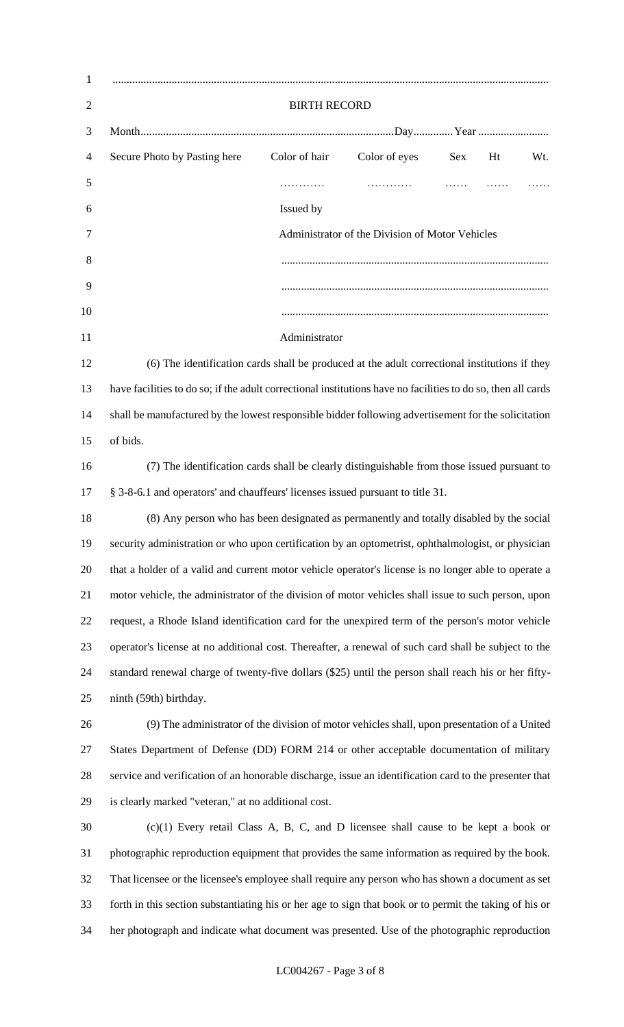| $\mathbf{1}$   |                                                                                                              |               |                                                 |            |    |     |  |
|----------------|--------------------------------------------------------------------------------------------------------------|---------------|-------------------------------------------------|------------|----|-----|--|
| $\overline{2}$ | <b>BIRTH RECORD</b>                                                                                          |               |                                                 |            |    |     |  |
| 3              |                                                                                                              |               |                                                 |            |    |     |  |
| 4              | Secure Photo by Pasting here                                                                                 | Color of hair | Color of eyes                                   | <b>Sex</b> | Ht | Wt. |  |
| 5              |                                                                                                              | .             | .                                               |            |    |     |  |
| 6              |                                                                                                              | Issued by     |                                                 |            |    |     |  |
| 7              |                                                                                                              |               | Administrator of the Division of Motor Vehicles |            |    |     |  |
| 8              |                                                                                                              |               |                                                 |            |    |     |  |
| 9              |                                                                                                              |               |                                                 |            |    |     |  |
| 10             |                                                                                                              |               |                                                 |            |    |     |  |
| 11             |                                                                                                              | Administrator |                                                 |            |    |     |  |
| 12             | (6) The identification cards shall be produced at the adult correctional institutions if they                |               |                                                 |            |    |     |  |
| 13             | have facilities to do so; if the adult correctional institutions have no facilities to do so, then all cards |               |                                                 |            |    |     |  |
| 14             | shall be manufactured by the lowest responsible bidder following advertisement for the solicitation          |               |                                                 |            |    |     |  |
| 15             | of bids.                                                                                                     |               |                                                 |            |    |     |  |
| 16             | (7) The identification cards shall be clearly distinguishable from those issued pursuant to                  |               |                                                 |            |    |     |  |
| 17             | § 3-8-6.1 and operators' and chauffeurs' licenses issued pursuant to title 31.                               |               |                                                 |            |    |     |  |
| 18             | (8) Any person who has been designated as permanently and totally disabled by the social                     |               |                                                 |            |    |     |  |
| 19             | security administration or who upon certification by an optometrist, ophthalmologist, or physician           |               |                                                 |            |    |     |  |
| 20             | that a holder of a valid and current motor vehicle operator's license is no longer able to operate a         |               |                                                 |            |    |     |  |
| 21             | motor vehicle, the administrator of the division of motor vehicles shall issue to such person, upon          |               |                                                 |            |    |     |  |
| 22             | request, a Rhode Island identification card for the unexpired term of the person's motor vehicle             |               |                                                 |            |    |     |  |
| 23             | operator's license at no additional cost. Thereafter, a renewal of such card shall be subject to the         |               |                                                 |            |    |     |  |
| 24             | standard renewal charge of twenty-five dollars (\$25) until the person shall reach his or her fifty-         |               |                                                 |            |    |     |  |
| 25             | ninth (59th) birthday.                                                                                       |               |                                                 |            |    |     |  |
| 26             | (9) The administrator of the division of motor vehicles shall, upon presentation of a United                 |               |                                                 |            |    |     |  |
| 27             | States Department of Defense (DD) FORM 214 or other acceptable documentation of military                     |               |                                                 |            |    |     |  |
| 28             | service and verification of an honorable discharge, issue an identification card to the presenter that       |               |                                                 |            |    |     |  |
| 29             | is clearly marked "veteran," at no additional cost.                                                          |               |                                                 |            |    |     |  |
| 30             | $(c)(1)$ Every retail Class A, B, C, and D licensee shall cause to be kept a book or                         |               |                                                 |            |    |     |  |
| 31             | photographic reproduction equipment that provides the same information as required by the book.              |               |                                                 |            |    |     |  |
| 32             | That licensee or the licensee's employee shall require any person who has shown a document as set            |               |                                                 |            |    |     |  |
| 33             | forth in this section substantiating his or her age to sign that book or to permit the taking of his or      |               |                                                 |            |    |     |  |
| 34             | her photograph and indicate what document was presented. Use of the photographic reproduction                |               |                                                 |            |    |     |  |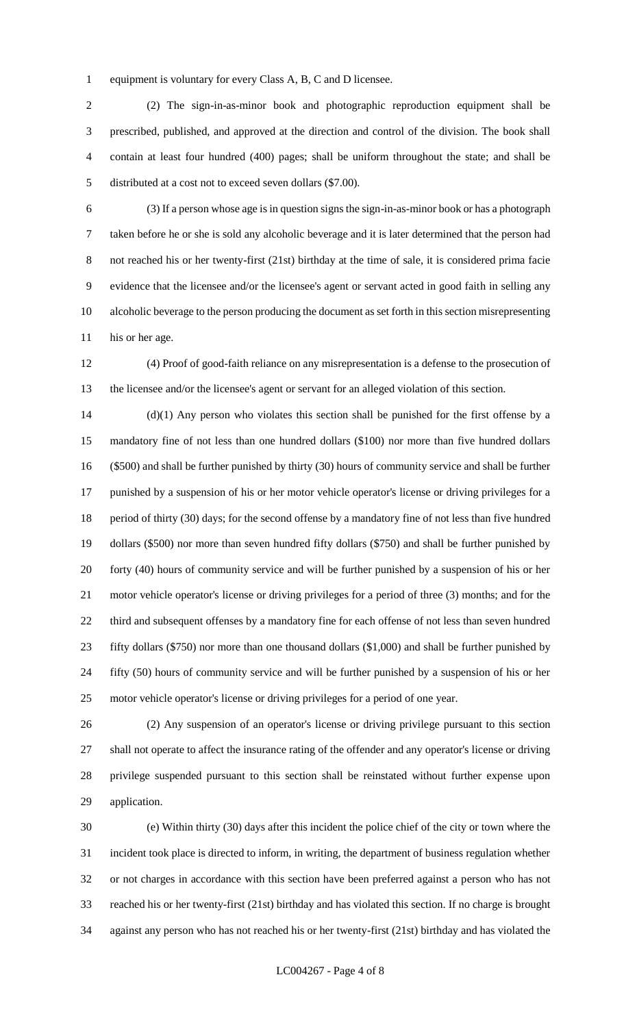equipment is voluntary for every Class A, B, C and D licensee.

 (2) The sign-in-as-minor book and photographic reproduction equipment shall be prescribed, published, and approved at the direction and control of the division. The book shall contain at least four hundred (400) pages; shall be uniform throughout the state; and shall be distributed at a cost not to exceed seven dollars (\$7.00).

 (3) If a person whose age is in question signs the sign-in-as-minor book or has a photograph taken before he or she is sold any alcoholic beverage and it is later determined that the person had not reached his or her twenty-first (21st) birthday at the time of sale, it is considered prima facie evidence that the licensee and/or the licensee's agent or servant acted in good faith in selling any alcoholic beverage to the person producing the document as set forth in this section misrepresenting 11 his or her age.

 (4) Proof of good-faith reliance on any misrepresentation is a defense to the prosecution of the licensee and/or the licensee's agent or servant for an alleged violation of this section.

 (d)(1) Any person who violates this section shall be punished for the first offense by a mandatory fine of not less than one hundred dollars (\$100) nor more than five hundred dollars (\$500) and shall be further punished by thirty (30) hours of community service and shall be further punished by a suspension of his or her motor vehicle operator's license or driving privileges for a period of thirty (30) days; for the second offense by a mandatory fine of not less than five hundred dollars (\$500) nor more than seven hundred fifty dollars (\$750) and shall be further punished by forty (40) hours of community service and will be further punished by a suspension of his or her motor vehicle operator's license or driving privileges for a period of three (3) months; and for the third and subsequent offenses by a mandatory fine for each offense of not less than seven hundred fifty dollars (\$750) nor more than one thousand dollars (\$1,000) and shall be further punished by fifty (50) hours of community service and will be further punished by a suspension of his or her motor vehicle operator's license or driving privileges for a period of one year.

 (2) Any suspension of an operator's license or driving privilege pursuant to this section shall not operate to affect the insurance rating of the offender and any operator's license or driving privilege suspended pursuant to this section shall be reinstated without further expense upon application.

 (e) Within thirty (30) days after this incident the police chief of the city or town where the incident took place is directed to inform, in writing, the department of business regulation whether or not charges in accordance with this section have been preferred against a person who has not reached his or her twenty-first (21st) birthday and has violated this section. If no charge is brought against any person who has not reached his or her twenty-first (21st) birthday and has violated the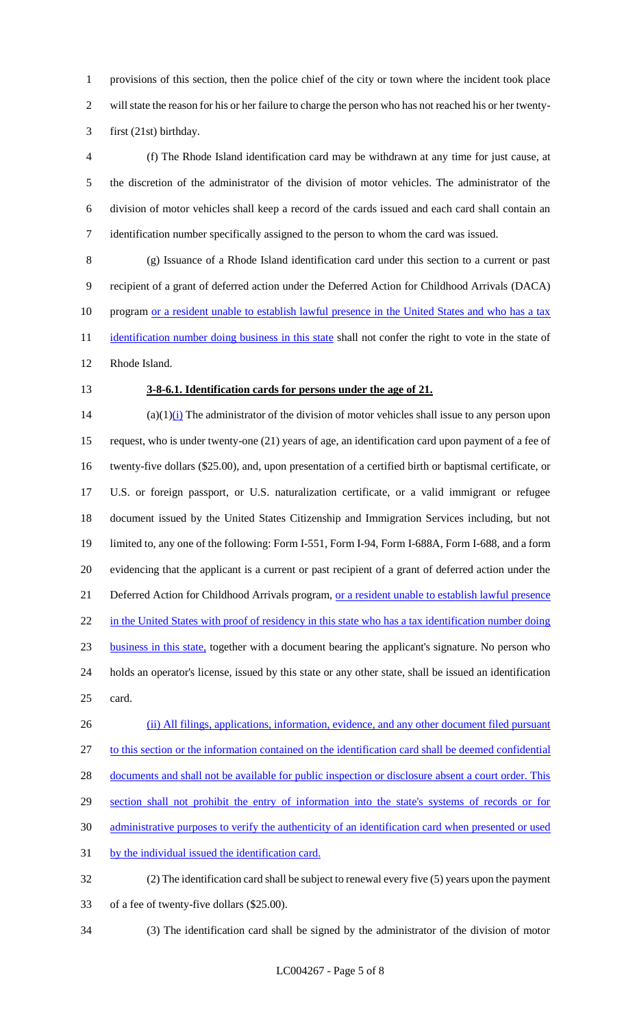provisions of this section, then the police chief of the city or town where the incident took place will state the reason for his or her failure to charge the person who has not reached his or her twenty-first (21st) birthday.

 (f) The Rhode Island identification card may be withdrawn at any time for just cause, at the discretion of the administrator of the division of motor vehicles. The administrator of the division of motor vehicles shall keep a record of the cards issued and each card shall contain an identification number specifically assigned to the person to whom the card was issued.

 (g) Issuance of a Rhode Island identification card under this section to a current or past recipient of a grant of deferred action under the Deferred Action for Childhood Arrivals (DACA) 10 program or a resident unable to establish lawful presence in the United States and who has a tax 11 identification number doing business in this state shall not confer the right to vote in the state of Rhode Island.

## **3-8-6.1. Identification cards for persons under the age of 21.**

14 (a) $(1)$ (i) The administrator of the division of motor vehicles shall issue to any person upon request, who is under twenty-one (21) years of age, an identification card upon payment of a fee of twenty-five dollars (\$25.00), and, upon presentation of a certified birth or baptismal certificate, or U.S. or foreign passport, or U.S. naturalization certificate, or a valid immigrant or refugee document issued by the United States Citizenship and Immigration Services including, but not limited to, any one of the following: Form I-551, Form I-94, Form I-688A, Form I-688, and a form evidencing that the applicant is a current or past recipient of a grant of deferred action under the 21 Deferred Action for Childhood Arrivals program, or a resident unable to establish lawful presence 22 in the United States with proof of residency in this state who has a tax identification number doing business in this state, together with a document bearing the applicant's signature. No person who holds an operator's license, issued by this state or any other state, shall be issued an identification card.

26 (ii) All filings, applications, information, evidence, and any other document filed pursuant to this section or the information contained on the identification card shall be deemed confidential 28 documents and shall not be available for public inspection or disclosure absent a court order. This 29 section shall not prohibit the entry of information into the state's systems of records or for administrative purposes to verify the authenticity of an identification card when presented or used by the individual issued the identification card. (2) The identification card shall be subject to renewal every five (5) years upon the payment

- of a fee of twenty-five dollars (\$25.00).
- 

(3) The identification card shall be signed by the administrator of the division of motor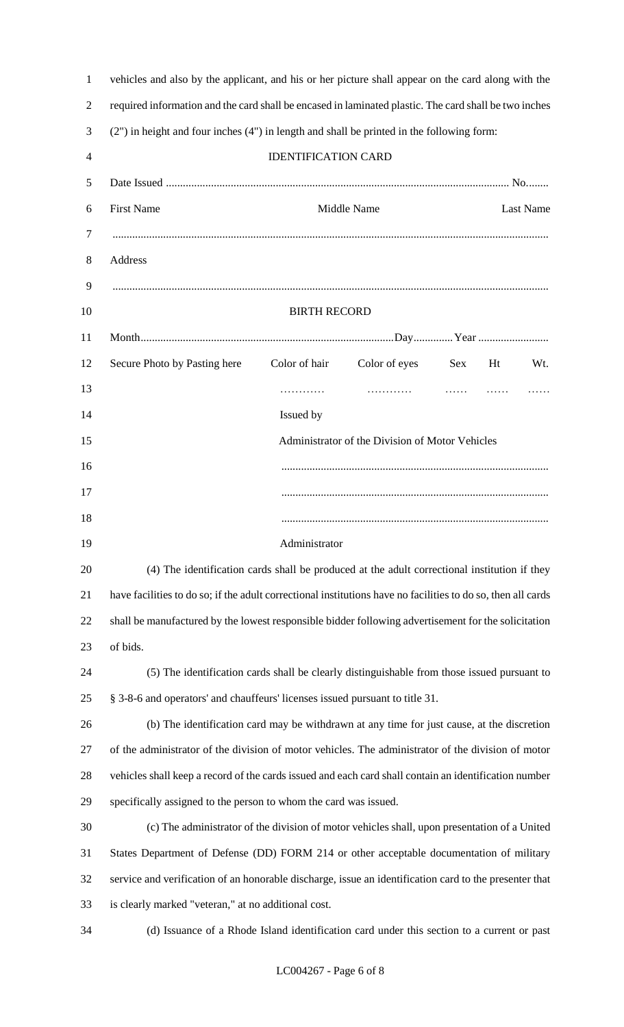| vehicles and also by the applicant, and his or her picture shall appear on the card along with the           |  |  |  |  |  |  |
|--------------------------------------------------------------------------------------------------------------|--|--|--|--|--|--|
| required information and the card shall be encased in laminated plastic. The card shall be two inches        |  |  |  |  |  |  |
| (2") in height and four inches (4") in length and shall be printed in the following form:                    |  |  |  |  |  |  |
| <b>IDENTIFICATION CARD</b>                                                                                   |  |  |  |  |  |  |
|                                                                                                              |  |  |  |  |  |  |
| <b>First Name</b><br>Middle Name<br><b>Last Name</b>                                                         |  |  |  |  |  |  |
|                                                                                                              |  |  |  |  |  |  |
| Address                                                                                                      |  |  |  |  |  |  |
|                                                                                                              |  |  |  |  |  |  |
| <b>BIRTH RECORD</b>                                                                                          |  |  |  |  |  |  |
|                                                                                                              |  |  |  |  |  |  |
| Secure Photo by Pasting here<br>Color of hair<br>Color of eyes<br>Sex<br>Ht<br>Wt.                           |  |  |  |  |  |  |
| $\cdots$<br>.<br>.                                                                                           |  |  |  |  |  |  |
| Issued by                                                                                                    |  |  |  |  |  |  |
| Administrator of the Division of Motor Vehicles                                                              |  |  |  |  |  |  |
|                                                                                                              |  |  |  |  |  |  |
|                                                                                                              |  |  |  |  |  |  |
|                                                                                                              |  |  |  |  |  |  |
| Administrator                                                                                                |  |  |  |  |  |  |
| (4) The identification cards shall be produced at the adult correctional institution if they                 |  |  |  |  |  |  |
| have facilities to do so; if the adult correctional institutions have no facilities to do so, then all cards |  |  |  |  |  |  |
| shall be manufactured by the lowest responsible bidder following advertisement for the solicitation          |  |  |  |  |  |  |
| of bids.<br>(5) The identification cards shall be clearly distinguishable from those issued pursuant to      |  |  |  |  |  |  |
| § 3-8-6 and operators' and chauffeurs' licenses issued pursuant to title 31.                                 |  |  |  |  |  |  |
| (b) The identification card may be withdrawn at any time for just cause, at the discretion                   |  |  |  |  |  |  |
| of the administrator of the division of motor vehicles. The administrator of the division of motor           |  |  |  |  |  |  |
| vehicles shall keep a record of the cards issued and each card shall contain an identification number        |  |  |  |  |  |  |
| specifically assigned to the person to whom the card was issued.                                             |  |  |  |  |  |  |
| (c) The administrator of the division of motor vehicles shall, upon presentation of a United                 |  |  |  |  |  |  |
| States Department of Defense (DD) FORM 214 or other acceptable documentation of military                     |  |  |  |  |  |  |
| service and verification of an honorable discharge, issue an identification card to the presenter that       |  |  |  |  |  |  |
| is clearly marked "veteran," at no additional cost.                                                          |  |  |  |  |  |  |
| (d) Issuance of a Rhode Island identification card under this section to a current or past                   |  |  |  |  |  |  |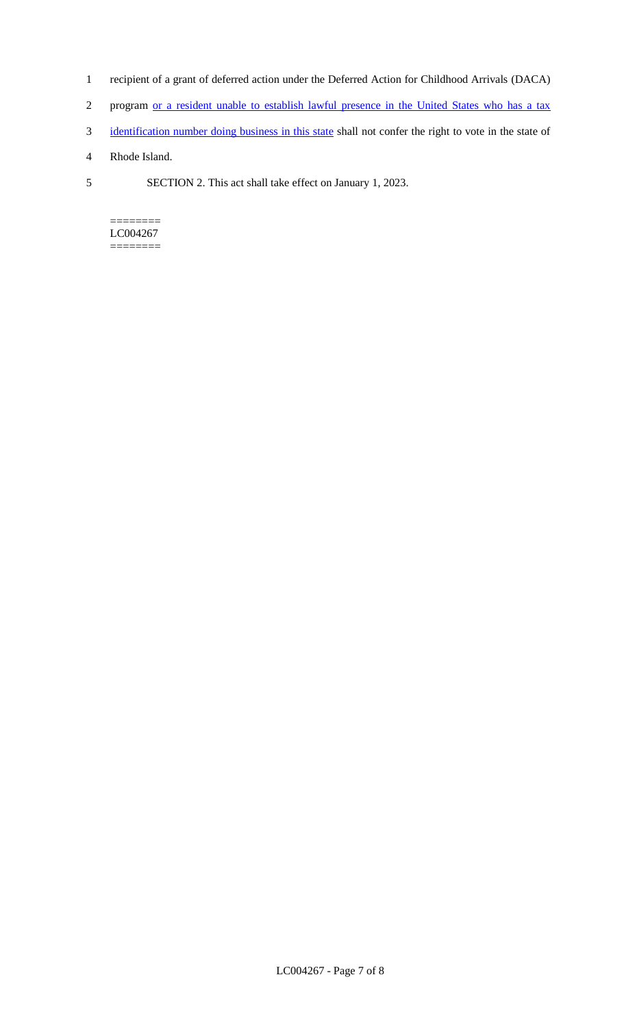- 1 recipient of a grant of deferred action under the Deferred Action for Childhood Arrivals (DACA)
- 2 program or a resident unable to establish lawful presence in the United States who has a tax
- 3 identification number doing business in this state shall not confer the right to vote in the state of
- 4 Rhode Island.
- 5 SECTION 2. This act shall take effect on January 1, 2023.

======== LC004267 ========